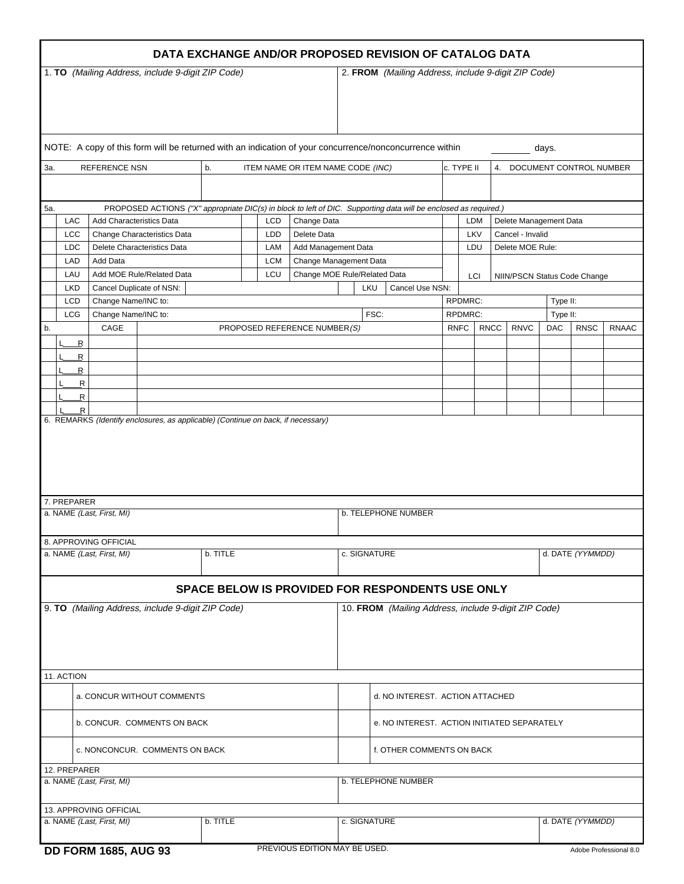|                                                                                                                         |                                                                                        |                                                 |                                                                                  |  |                                                  |                        | DATA EXCHANGE AND/OR PROPOSED REVISION OF CATALOG DATA  |                                             |  |  |             |                                       |                  |            |                        |                        |  |
|-------------------------------------------------------------------------------------------------------------------------|----------------------------------------------------------------------------------------|-------------------------------------------------|----------------------------------------------------------------------------------|--|--------------------------------------------------|------------------------|---------------------------------------------------------|---------------------------------------------|--|--|-------------|---------------------------------------|------------------|------------|------------------------|------------------------|--|
| 1. TO (Mailing Address, include 9-digit ZIP Code)                                                                       |                                                                                        |                                                 |                                                                                  |  |                                                  |                        | 2. FROM (Mailing Address, include 9-digit ZIP Code)     |                                             |  |  |             |                                       |                  |            |                        |                        |  |
| NOTE: A copy of this form will be returned with an indication of your concurrence/nonconcurrence within                 |                                                                                        |                                                 |                                                                                  |  |                                                  |                        |                                                         | days.                                       |  |  |             |                                       |                  |            |                        |                        |  |
| <b>REFERENCE NSN</b><br>b.<br>ITEM NAME OR ITEM NAME CODE (INC)<br>3а.                                                  |                                                                                        |                                                 |                                                                                  |  |                                                  |                        | c. TYPE II                                              |                                             |  |  |             | 4. DOCUMENT CONTROL NUMBER            |                  |            |                        |                        |  |
| PROPOSED ACTIONS ("X" appropriate DIC(s) in block to left of DIC. Supporting data will be enclosed as required.)<br>5а. |                                                                                        |                                                 |                                                                                  |  |                                                  |                        |                                                         |                                             |  |  |             |                                       |                  |            |                        |                        |  |
|                                                                                                                         | LAC                                                                                    | Add Characteristics Data<br><b>LCD</b>          |                                                                                  |  |                                                  |                        | Change Data                                             |                                             |  |  |             | <b>LDM</b><br>LKV<br>Cancel - Invalid |                  |            | Delete Management Data |                        |  |
|                                                                                                                         | <b>LCC</b><br>Change Characteristics Data<br><b>LDC</b><br>Delete Characteristics Data |                                                 |                                                                                  |  | LDD<br>Delete Data<br>Add Management Data<br>LAM |                        |                                                         |                                             |  |  |             | LDU                                   | Delete MOE Rule: |            |                        |                        |  |
|                                                                                                                         | LAD<br>Add Data                                                                        |                                                 |                                                                                  |  | <b>LCM</b>                                       | Change Management Data |                                                         |                                             |  |  |             |                                       |                  |            |                        |                        |  |
|                                                                                                                         | LAU                                                                                    | Add MOE Rule/Related Data<br>LCU                |                                                                                  |  |                                                  |                        | Change MOE Rule/Related Data<br>LCI                     |                                             |  |  |             | NIIN/PSCN Status Code Change          |                  |            |                        |                        |  |
|                                                                                                                         | <b>LKD</b><br><b>LCD</b>                                                               | Cancel Duplicate of NSN:<br>Change Name/INC to: |                                                                                  |  |                                                  |                        |                                                         | LKU<br>Cancel Use NSN:<br>RPDMRC:           |  |  |             |                                       | Type II:         |            |                        |                        |  |
|                                                                                                                         | <b>LCG</b>                                                                             | Change Name/INC to:                             |                                                                                  |  |                                                  |                        |                                                         | FSC:<br>RPDMRC:                             |  |  |             | Type II:                              |                  |            |                        |                        |  |
| b.                                                                                                                      |                                                                                        | CAGE                                            |                                                                                  |  |                                                  |                        | PROPOSED REFERENCE NUMBER(S)                            |                                             |  |  | <b>RNFC</b> | <b>RNCC</b>                           | <b>RNVC</b>      | <b>DAC</b> | <b>RNSC</b>            | <b>RNAAC</b>           |  |
|                                                                                                                         | R                                                                                      |                                                 |                                                                                  |  |                                                  |                        |                                                         |                                             |  |  |             |                                       |                  |            |                        |                        |  |
|                                                                                                                         | R                                                                                      |                                                 |                                                                                  |  |                                                  |                        |                                                         |                                             |  |  |             |                                       |                  |            |                        |                        |  |
|                                                                                                                         | R<br>$\overline{\mathsf{R}}$                                                           |                                                 |                                                                                  |  |                                                  |                        |                                                         |                                             |  |  |             |                                       |                  |            |                        |                        |  |
|                                                                                                                         | $\overline{\mathsf{R}}$                                                                |                                                 |                                                                                  |  |                                                  |                        |                                                         |                                             |  |  |             |                                       |                  |            |                        |                        |  |
|                                                                                                                         | R                                                                                      |                                                 | 6. REMARKS (Identify enclosures, as applicable) (Continue on back, if necessary) |  |                                                  |                        |                                                         |                                             |  |  |             |                                       |                  |            |                        |                        |  |
|                                                                                                                         |                                                                                        |                                                 |                                                                                  |  |                                                  |                        |                                                         |                                             |  |  |             |                                       |                  |            |                        |                        |  |
| 7. PREPARER<br>a. NAME (Last, First, MI)                                                                                |                                                                                        |                                                 |                                                                                  |  |                                                  |                        | <b>b. TELEPHONE NUMBER</b>                              |                                             |  |  |             |                                       |                  |            |                        |                        |  |
| 8. APPROVING OFFICIAL<br>a. NAME (Last, First, MI)<br>b. TITLE                                                          |                                                                                        |                                                 |                                                                                  |  |                                                  |                        | c. SIGNATURE                                            |                                             |  |  |             |                                       | d. DATE (YYMMDD) |            |                        |                        |  |
|                                                                                                                         |                                                                                        |                                                 |                                                                                  |  |                                                  |                        | <b>SPACE BELOW IS PROVIDED FOR RESPONDENTS USE ONLY</b> |                                             |  |  |             |                                       |                  |            |                        |                        |  |
| 9. TO (Mailing Address, include 9-digit ZIP Code)                                                                       |                                                                                        |                                                 |                                                                                  |  |                                                  |                        | 10. FROM (Mailing Address, include 9-digit ZIP Code)    |                                             |  |  |             |                                       |                  |            |                        |                        |  |
| 11. ACTION                                                                                                              |                                                                                        |                                                 |                                                                                  |  |                                                  |                        |                                                         |                                             |  |  |             |                                       |                  |            |                        |                        |  |
| a. CONCUR WITHOUT COMMENTS                                                                                              |                                                                                        |                                                 |                                                                                  |  |                                                  |                        |                                                         | d. NO INTEREST. ACTION ATTACHED             |  |  |             |                                       |                  |            |                        |                        |  |
| <b>b. CONCUR. COMMENTS ON BACK</b>                                                                                      |                                                                                        |                                                 |                                                                                  |  |                                                  |                        |                                                         | e. NO INTEREST. ACTION INITIATED SEPARATELY |  |  |             |                                       |                  |            |                        |                        |  |
| c. NONCONCUR. COMMENTS ON BACK                                                                                          |                                                                                        |                                                 |                                                                                  |  |                                                  |                        | f. OTHER COMMENTS ON BACK                               |                                             |  |  |             |                                       |                  |            |                        |                        |  |
| 12. PREPARER<br>a. NAME (Last, First, MI)                                                                               |                                                                                        |                                                 |                                                                                  |  |                                                  |                        | <b>b. TELEPHONE NUMBER</b>                              |                                             |  |  |             |                                       |                  |            |                        |                        |  |
| 13. APPROVING OFFICIAL<br>a. NAME (Last, First, MI)<br>b. TITLE                                                         |                                                                                        |                                                 |                                                                                  |  |                                                  |                        |                                                         | c. SIGNATURE                                |  |  |             |                                       | d. DATE (YYMMDD) |            |                        |                        |  |
|                                                                                                                         |                                                                                        | <b>DD FORM 1685, AUG 93</b>                     |                                                                                  |  |                                                  |                        | PREVIOUS EDITION MAY BE USED.                           |                                             |  |  |             |                                       |                  |            |                        | Adobe Professional 8.0 |  |